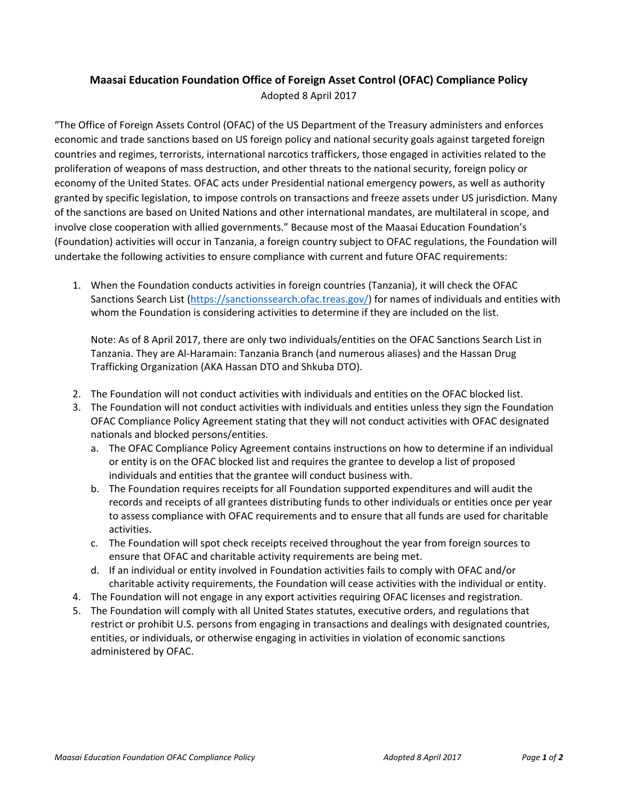## **Maasai Education Foundation Office of Foreign Asset Control (OFAC) Compliance Policy** Adopted 8 April 2017

"The Office of Foreign Assets Control (OFAC) of the US Department of the Treasury administers and enforces economic and trade sanctions based on US foreign policy and national security goals against targeted foreign countries and regimes, terrorists, international narcotics traffickers, those engaged in activities related to the proliferation of weapons of mass destruction, and other threats to the national security, foreign policy or economy of the United States. OFAC acts under Presidential national emergency powers, as well as authority granted by specific legislation, to impose controls on transactions and freeze assets under US jurisdiction. Many of the sanctions are based on United Nations and other international mandates, are multilateral in scope, and involve close cooperation with allied governments." Because most of the Maasai Education Foundation's (Foundation) activities will occur in Tanzania, a foreign country subject to OFAC regulations, the Foundation will undertake the following activities to ensure compliance with current and future OFAC requirements:

1. When the Foundation conducts activities in foreign countries (Tanzania), it will check the OFAC Sanctions Search List [\(https://sanctionssearch.ofac.treas.gov/\)](https://sanctionssearch.ofac.treas.gov/) for names of individuals and entities with whom the Foundation is considering activities to determine if they are included on the list.

Note: As of 8 April 2017, there are only two individuals/entities on the OFAC Sanctions Search List in Tanzania. They are Al-Haramain: Tanzania Branch (and numerous aliases) and the Hassan Drug Trafficking Organization (AKA Hassan DTO and Shkuba DTO).

- 2. The Foundation will not conduct activities with individuals and entities on the OFAC blocked list.
- 3. The Foundation will not conduct activities with individuals and entities unless they sign the Foundation OFAC Compliance Policy Agreement stating that they will not conduct activities with OFAC designated nationals and blocked persons/entities.
	- a. The OFAC Compliance Policy Agreement contains instructions on how to determine if an individual or entity is on the OFAC blocked list and requires the grantee to develop a list of proposed individuals and entities that the grantee will conduct business with.
	- b. The Foundation requires receipts for all Foundation supported expenditures and will audit the records and receipts of all grantees distributing funds to other individuals or entities once per year to assess compliance with OFAC requirements and to ensure that all funds are used for charitable activities.
	- c. The Foundation will spot check receipts received throughout the year from foreign sources to ensure that OFAC and charitable activity requirements are being met.
	- d. If an individual or entity involved in Foundation activities fails to comply with OFAC and/or charitable activity requirements, the Foundation will cease activities with the individual or entity.
- 4. The Foundation will not engage in any export activities requiring OFAC licenses and registration.
- 5. The Foundation will comply with all United States statutes, executive orders, and regulations that restrict or prohibit U.S. persons from engaging in transactions and dealings with designated countries, entities, or individuals, or otherwise engaging in activities in violation of economic sanctions administered by OFAC.